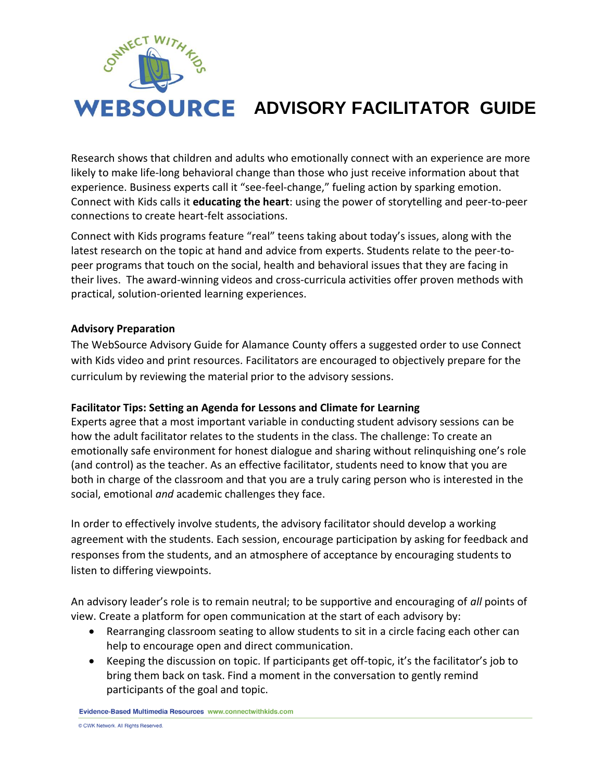

# **WEBSOURCE ADVISORY FACILITATOR GUIDE**

Research shows that children and adults who emotionally connect with an experience are more likely to make life-long behavioral change than those who just receive information about that experience. Business experts call it "see-feel-change," fueling action by sparking emotion. Connect with Kids calls it **educating the heart**: using the power of storytelling and peer-to-peer connections to create heart-felt associations.

Connect with Kids programs feature "real" teens taking about today's issues, along with the latest research on the topic at hand and advice from experts. Students relate to the peer-topeer programs that touch on the social, health and behavioral issues that they are facing in their lives. The award-winning videos and cross-curricula activities offer proven methods with practical, solution-oriented learning experiences.

#### **Advisory Preparation**

The WebSource Advisory Guide for Alamance County offers a suggested order to use Connect with Kids video and print resources. Facilitators are encouraged to objectively prepare for the curriculum by reviewing the material prior to the advisory sessions.

#### **Facilitator Tips: Setting an Agenda for Lessons and Climate for Learning**

Experts agree that a most important variable in conducting student advisory sessions can be how the adult facilitator relates to the students in the class. The challenge: To create an emotionally safe environment for honest dialogue and sharing without relinquishing one's role (and control) as the teacher. As an effective facilitator, students need to know that you are both in charge of the classroom and that you are a truly caring person who is interested in the social, emotional *and* academic challenges they face.

In order to effectively involve students, the advisory facilitator should develop a working agreement with the students. Each session, encourage participation by asking for feedback and responses from the students, and an atmosphere of acceptance by encouraging students to listen to differing viewpoints.

An advisory leader's role is to remain neutral; to be supportive and encouraging of *all* points of view. Create a platform for open communication at the start of each advisory by:

- Rearranging classroom seating to allow students to sit in a circle facing each other can help to encourage open and direct communication.
- Keeping the discussion on topic. If participants get off-topic, it's the facilitator's job to bring them back on task. Find a moment in the conversation to gently remind participants of the goal and topic.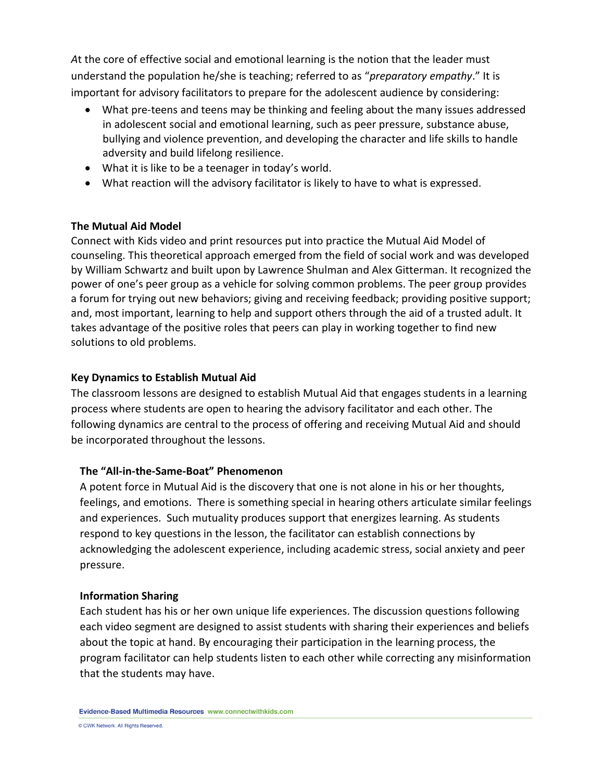*A*t the core of effective social and emotional learning is the notion that the leader must understand the population he/she is teaching; referred to as "*preparatory empathy*." It is important for advisory facilitators to prepare for the adolescent audience by considering:

- What pre-teens and teens may be thinking and feeling about the many issues addressed in adolescent social and emotional learning, such as peer pressure, substance abuse, bullying and violence prevention, and developing the character and life skills to handle adversity and build lifelong resilience.
- What it is like to be a teenager in today's world.
- What reaction will the advisory facilitator is likely to have to what is expressed.

# **The Mutual Aid Model**

Connect with Kids video and print resources put into practice the Mutual Aid Model of counseling. This theoretical approach emerged from the field of social work and was developed by William Schwartz and built upon by Lawrence Shulman and Alex Gitterman. It recognized the power of one's peer group as a vehicle for solving common problems. The peer group provides a forum for trying out new behaviors; giving and receiving feedback; providing positive support; and, most important, learning to help and support others through the aid of a trusted adult. It takes advantage of the positive roles that peers can play in working together to find new solutions to old problems.

### **Key Dynamics to Establish Mutual Aid**

The classroom lessons are designed to establish Mutual Aid that engages students in a learning process where students are open to hearing the advisory facilitator and each other. The following dynamics are central to the process of offering and receiving Mutual Aid and should be incorporated throughout the lessons.

# **The "All-in-the-Same-Boat" Phenomenon**

A potent force in Mutual Aid is the discovery that one is not alone in his or her thoughts, feelings, and emotions. There is something special in hearing others articulate similar feelings and experiences. Such mutuality produces support that energizes learning. As students respond to key questions in the lesson, the facilitator can establish connections by acknowledging the adolescent experience, including academic stress, social anxiety and peer pressure.

#### **Information Sharing**

Each student has his or her own unique life experiences. The discussion questions following each video segment are designed to assist students with sharing their experiences and beliefs about the topic at hand. By encouraging their participation in the learning process, the program facilitator can help students listen to each other while correcting any misinformation that the students may have.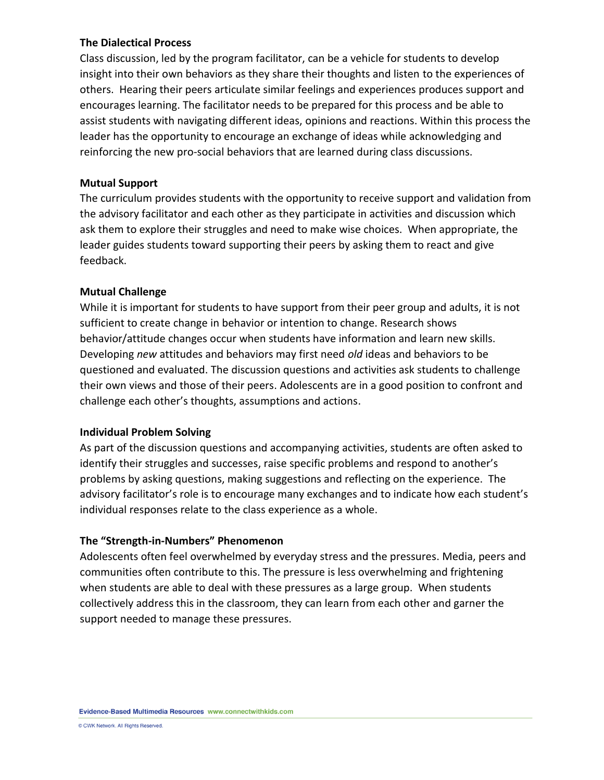#### **The Dialectical Process**

Class discussion, led by the program facilitator, can be a vehicle for students to develop insight into their own behaviors as they share their thoughts and listen to the experiences of others. Hearing their peers articulate similar feelings and experiences produces support and encourages learning. The facilitator needs to be prepared for this process and be able to assist students with navigating different ideas, opinions and reactions. Within this process the leader has the opportunity to encourage an exchange of ideas while acknowledging and reinforcing the new pro-social behaviors that are learned during class discussions.

#### **Mutual Support**

The curriculum provides students with the opportunity to receive support and validation from the advisory facilitator and each other as they participate in activities and discussion which ask them to explore their struggles and need to make wise choices. When appropriate, the leader guides students toward supporting their peers by asking them to react and give feedback.

#### **Mutual Challenge**

While it is important for students to have support from their peer group and adults, it is not sufficient to create change in behavior or intention to change. Research shows behavior/attitude changes occur when students have information and learn new skills. Developing *new* attitudes and behaviors may first need *old* ideas and behaviors to be questioned and evaluated. The discussion questions and activities ask students to challenge their own views and those of their peers. Adolescents are in a good position to confront and challenge each other's thoughts, assumptions and actions.

#### **Individual Problem Solving**

As part of the discussion questions and accompanying activities, students are often asked to identify their struggles and successes, raise specific problems and respond to another's problems by asking questions, making suggestions and reflecting on the experience. The advisory facilitator's role is to encourage many exchanges and to indicate how each student's individual responses relate to the class experience as a whole.

#### **The "Strength-in-Numbers" Phenomenon**

Adolescents often feel overwhelmed by everyday stress and the pressures. Media, peers and communities often contribute to this. The pressure is less overwhelming and frightening when students are able to deal with these pressures as a large group. When students collectively address this in the classroom, they can learn from each other and garner the support needed to manage these pressures.